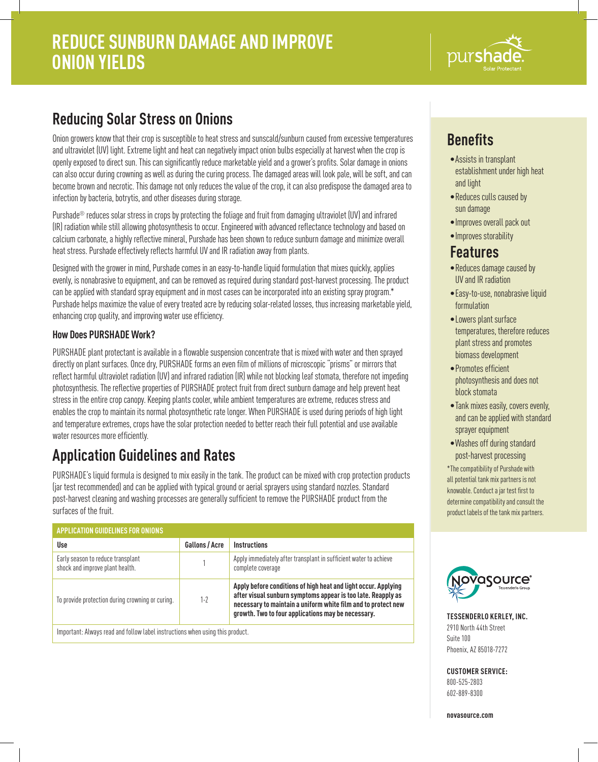

## **Reducing Solar Stress on Onions**

Onion growers know that their crop is susceptible to heat stress and sunscald/sunburn caused from excessive temperatures and ultraviolet (UV) light. Extreme light and heat can negatively impact onion bulbs especially at harvest when the crop is openly exposed to direct sun. This can significantly reduce marketable yield and a grower's profits. Solar damage in onions can also occur during crowning as well as during the curing process. The damaged areas will look pale, will be soft, and can become brown and necrotic. This damage not only reduces the value of the crop, it can also predispose the damaged area to infection by bacteria, botrytis, and other diseases during storage.

Purshade® reduces solar stress in crops by protecting the foliage and fruit from damaging ultraviolet (UV) and infrared (IR) radiation while still allowing photosynthesis to occur. Engineered with advanced reflectance technology and based on calcium carbonate, a highly reflective mineral, Purshade has been shown to reduce sunburn damage and minimize overall heat stress. Purshade effectively reflects harmful UV and IR radiation away from plants.

Designed with the grower in mind, Purshade comes in an easy-to-handle liquid formulation that mixes quickly, applies evenly, is nonabrasive to equipment, and can be removed as required during standard post-harvest processing. The product can be applied with standard spray equipment and in most cases can be incorporated into an existing spray program.\* Purshade helps maximize the value of every treated acre by reducing solar-related losses, thus increasing marketable yield, enhancing crop quality, and improving water use efficiency.

## **How Does PURSHADE Work?**

PURSHADE plant protectant is available in a flowable suspension concentrate that is mixed with water and then sprayed directly on plant surfaces. Once dry, PURSHADE forms an even film of millions of microscopic "prisms" or mirrors that reflect harmful ultraviolet radiation (UV) and infrared radiation (IR) while not blocking leaf stomata, therefore not impeding photosynthesis. The reflective properties of PURSHADE protect fruit from direct sunburn damage and help prevent heat stress in the entire crop canopy. Keeping plants cooler, while ambient temperatures are extreme, reduces stress and enables the crop to maintain its normal photosynthetic rate longer. When PURSHADE is used during periods of high light and temperature extremes, crops have the solar protection needed to better reach their full potential and use available water resources more efficiently.

# **Application Guidelines and Rates**

PURSHADE's liquid formula is designed to mix easily in the tank. The product can be mixed with crop protection products (jar test recommended) and can be applied with typical ground or aerial sprayers using standard nozzles. Standard post-harvest cleaning and washing processes are generally sufficient to remove the PURSHADE product from the surfaces of the fruit.

| <b>APPLICATION GUIDELINES FOR ONIONS</b>                                      |                |                                                                                                                                                                                                                                                       |
|-------------------------------------------------------------------------------|----------------|-------------------------------------------------------------------------------------------------------------------------------------------------------------------------------------------------------------------------------------------------------|
| Use                                                                           | Gallons / Acre | <b>Instructions</b>                                                                                                                                                                                                                                   |
| Early season to reduce transplant<br>shock and improve plant health.          |                | Apply immediately after transplant in sufficient water to achieve<br>complete coverage                                                                                                                                                                |
| To provide protection during crowning or curing.                              | $1 - 2$        | Apply before conditions of high heat and light occur. Applying<br>after visual sunburn symptoms appear is too late. Reapply as<br>necessary to maintain a uniform white film and to protect new<br>growth. Two to four applications may be necessary. |
| Important: Always read and follow label instructions when using this product. |                |                                                                                                                                                                                                                                                       |

# **Benefits**

- •Assists in transplant establishment under high heat and light
- •Reduces culls caused by sun damage
- •Improves overall pack out
- •Improves storability

## **Features**

- •Reduces damage caused by UV and IR radiation
- •Easy-to-use, nonabrasive liquid formulation
- •Lowers plant surface temperatures, therefore reduces plant stress and promotes biomass development
- •Promotes efficient photosynthesis and does not block stomata
- •Tank mixes easily, covers evenly, and can be applied with standard sprayer equipment
- •Washes off during standard post-harvest processing

\*The compatibility of Purshade with all potential tank mix partners is not knowable. Conduct a jar test first to determine compatibility and consult the product labels of the tank mix partners.



**TESSENDERLO KERLEY, INC.** 2910 North 44th Street Suite 100 Phoenix, AZ 85018-7272

**CUSTOMER SERVICE:**

800-525-2803 602-889-8300

**novasource.com**